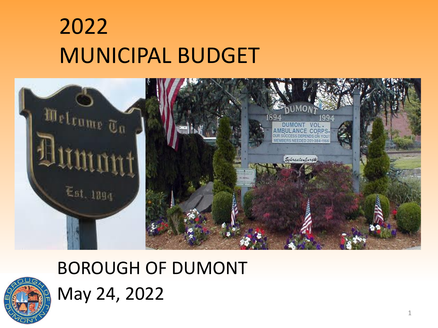## 2022 MUNICIPAL BUDGET





BOROUGH OF DUMONT May 24, 2022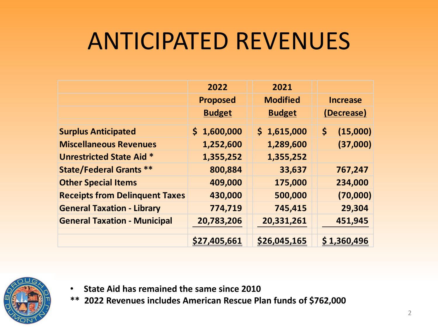## ANTICIPATED REVENUES

|                                       | 2022            | 2021            |                 |  |
|---------------------------------------|-----------------|-----------------|-----------------|--|
|                                       | <b>Proposed</b> | <b>Modified</b> | <b>Increase</b> |  |
|                                       | <b>Budget</b>   | <b>Budget</b>   | (Decrease)      |  |
| <b>Surplus Anticipated</b>            | \$1,600,000     | \$1,615,000     | (15,000)<br>\$  |  |
| <b>Miscellaneous Revenues</b>         | 1,252,600       | 1,289,600       | (37,000)        |  |
| <b>Unrestricted State Aid *</b>       | 1,355,252       | 1,355,252       |                 |  |
| <b>State/Federal Grants **</b>        | 800,884         | 33,637          | 767,247         |  |
| <b>Other Special Items</b>            | 409,000         | 175,000         | 234,000         |  |
| <b>Receipts from Delinquent Taxes</b> | 430,000         | 500,000         | (70,000)        |  |
| <b>General Taxation - Library</b>     | 774,719         | 745,415         | 29,304          |  |
| <b>General Taxation - Municipal</b>   | 20,783,206      | 20,331,261      | 451,945         |  |
|                                       |                 |                 |                 |  |
|                                       | \$27,405,661    | \$26,045,165    | \$1,360,496     |  |



- **State Aid has remained the same since 2010**
- **\*\* 2022 Revenues includes American Rescue Plan funds of \$762,000**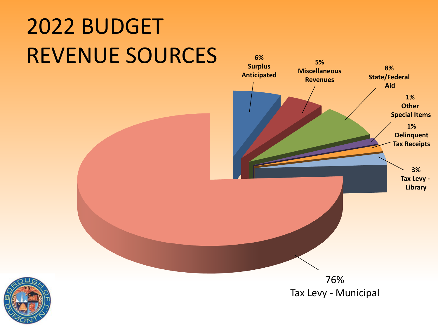# 2022 BUDGET REVENUE SOURCES **6%**



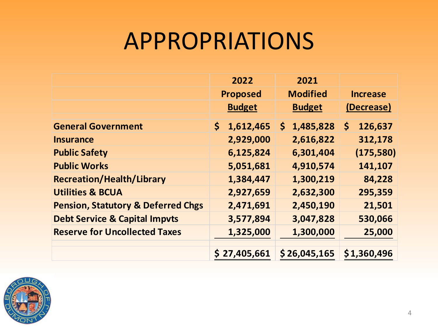#### APPROPRIATIONS

|                                               | 2022             | 2021                      |                 |
|-----------------------------------------------|------------------|---------------------------|-----------------|
|                                               | <b>Proposed</b>  | <b>Modified</b>           | <b>Increase</b> |
|                                               | <b>Budget</b>    | <b>Budget</b>             | (Decrease)      |
| <b>General Government</b>                     | 1,612,465<br>\$. | 1,485,828<br>$\mathsf{S}$ | \$<br>126,637   |
| <b>Insurance</b>                              | 2,929,000        | 2,616,822                 | 312,178         |
| <b>Public Safety</b>                          | 6,125,824        | 6,301,404                 | (175, 580)      |
| <b>Public Works</b>                           | 5,051,681        | 4,910,574                 | 141,107         |
| <b>Recreation/Health/Library</b>              | 1,384,447        | 1,300,219                 | 84,228          |
| <b>Utilities &amp; BCUA</b>                   | 2,927,659        | 2,632,300                 | 295,359         |
| <b>Pension, Statutory &amp; Deferred Chgs</b> | 2,471,691        | 2,450,190                 | 21,501          |
| <b>Debt Service &amp; Capital Impvts</b>      | 3,577,894        | 3,047,828                 | 530,066         |
| <b>Reserve for Uncollected Taxes</b>          | 1,325,000        | 1,300,000                 | 25,000          |
|                                               |                  |                           |                 |
|                                               | \$27,405,661     | \$26,045,165              | \$1,360,496     |

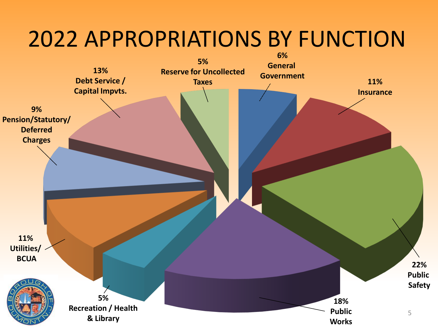#### 2022 APPROPRIATIONS BY FUNCTION

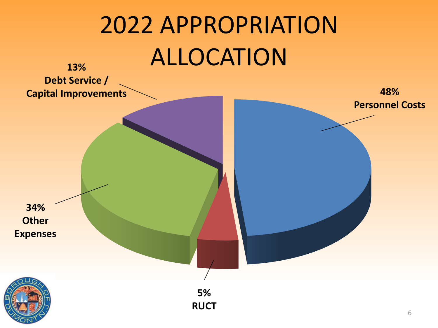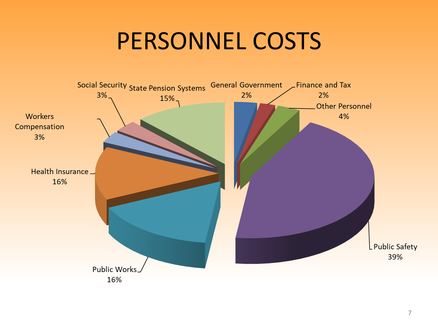#### PERSONNEL COSTS

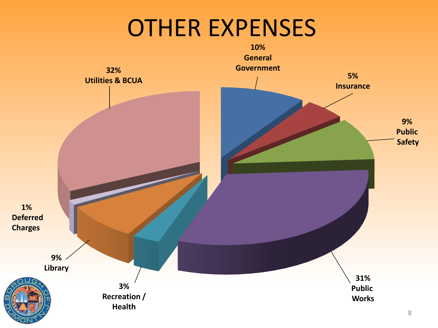#### OTHER EXPENSES

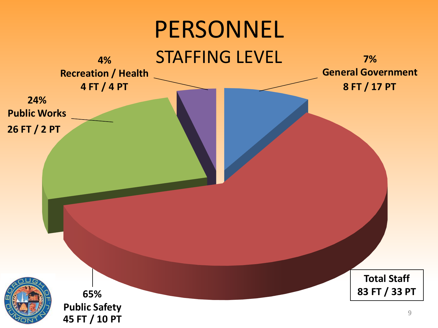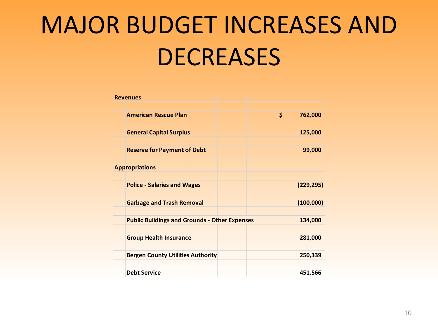# MAJOR BUDGET INCREASES AND **DECREASES**

| <b>Revenues</b>                                      |  |                |
|------------------------------------------------------|--|----------------|
|                                                      |  |                |
| <b>American Rescue Plan</b>                          |  | \$.<br>762,000 |
|                                                      |  |                |
| <b>General Capital Surplus</b>                       |  | 125,000        |
|                                                      |  |                |
| <b>Reserve for Payment of Debt</b>                   |  | 99,000         |
|                                                      |  |                |
| <b>Appropriations</b>                                |  |                |
|                                                      |  |                |
| <b>Police - Salaries and Wages</b>                   |  | (229, 295)     |
|                                                      |  |                |
| <b>Garbage and Trash Removal</b>                     |  | (100,000)      |
|                                                      |  |                |
| <b>Public Buildings and Grounds - Other Expenses</b> |  | 134,000        |
|                                                      |  |                |
| <b>Group Health Insurance</b>                        |  | 281,000        |
|                                                      |  |                |
| <b>Bergen County Utilities Authority</b>             |  | 250,339        |
|                                                      |  |                |
| <b>Debt Service</b>                                  |  | 451,566        |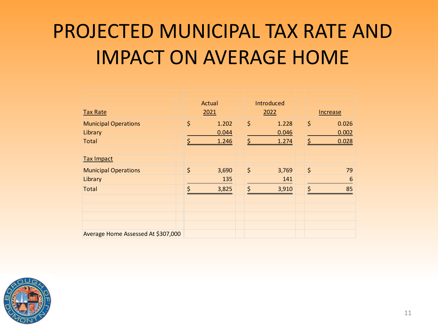#### PROJECTED MUNICIPAL TAX RATE AND IMPACT ON AVERAGE HOME

|                                    |    | Actual |  |         | Introduced |          |         |                 |
|------------------------------------|----|--------|--|---------|------------|----------|---------|-----------------|
| <b>Tax Rate</b>                    |    | 2021   |  | 2022    |            | Increase |         |                 |
| <b>Municipal Operations</b>        | \$ | 1.202  |  | \$      | 1.228      |          | \$      | 0.026           |
| Library                            |    | 0.044  |  |         | 0.046      |          |         | 0.002           |
| <b>Total</b>                       |    | 1.246  |  | Ś       | 1.274      |          | \$      | 0.028           |
|                                    |    |        |  |         |            |          |         |                 |
| <b>Tax Impact</b>                  |    |        |  |         |            |          |         |                 |
| <b>Municipal Operations</b>        | \$ | 3,690  |  | $\zeta$ | 3,769      |          | \$      | 79              |
| Library                            |    | 135    |  |         | 141        |          |         | $6\phantom{1}6$ |
| <b>Total</b>                       | Ś  | 3,825  |  | $\zeta$ | 3,910      |          | $\zeta$ | 85              |
|                                    |    |        |  |         |            |          |         |                 |
|                                    |    |        |  |         |            |          |         |                 |
|                                    |    |        |  |         |            |          |         |                 |
|                                    |    |        |  |         |            |          |         |                 |
| Average Home Assessed At \$307,000 |    |        |  |         |            |          |         |                 |

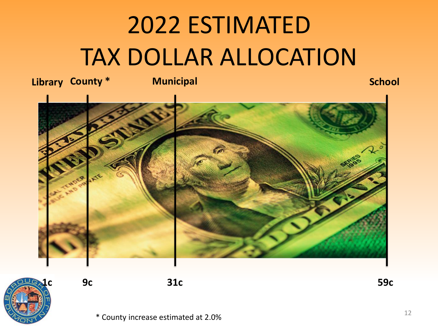# 2022 ESTIMATED TAX DOLLAR ALLOCATION



**1c 9c 31c 59c**

\* County increase estimated at 2.0%